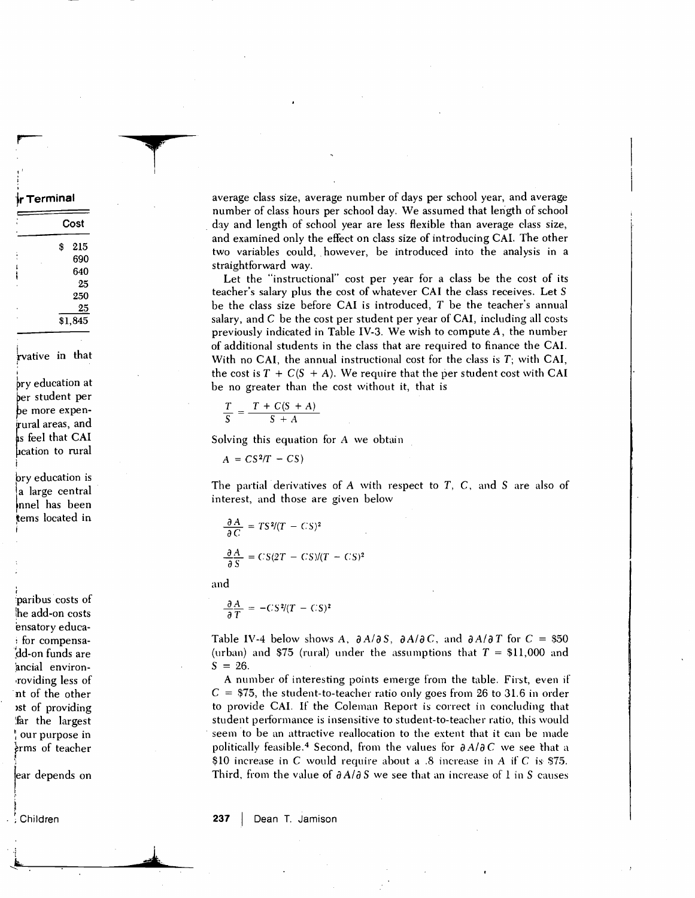average class size, average number of days per school year, and average number of class hours per school day. We assumed that length of school day and length of school year are less flexible than average class size, and examined only the effect on class size of introducing CA!. The other two variables could, however, be introduced into the analysis in a straightforward way.

Let the "instructional" cost per year for a class be the cost of its teacher's salary pius the cost of whatever CAl the class receives. Let S be the class size before CAI is introduced,  $T$  be the teacher's annual salary, and C be the cost per student per year of CAT, including all costs previously indicated in Table IV-3. We wish to compute A, the number of additional students in the class that are required to finance the CA!. With no CAI, the annual instructional cost for the class is  $T<sub>i</sub>$  with CAI, the cost is  $T + C(S + A)$ . We require that the per student cost with CAI be no greater than the cost without it, that is

$$
\frac{T}{S} = \frac{T + C(S + A)}{S + A}
$$

Solving this equation for A we obtain

$$
A = CS^2/T - CS)
$$

The partial derivatives of  $A$  with respect to  $T$ ,  $C$ , and  $S$  are also of interest, and those are given below

$$
\frac{\partial A}{\partial C} = TS^2/(T - CS)^2
$$

$$
\frac{\partial A}{\partial S} = CS(2T - CS)/(T - CS)^2
$$

and

$$
\frac{\partial A}{\partial T} = -CS^2/(T - CS)^2
$$

Table IV-4 below shows A,  $\partial A/\partial S$ ,  $\partial A/\partial C$ , and  $\partial A/\partial T$  for  $C = $50$ (urban) and \$75 (rural) under the assumptions that  $T = $11,000$  and  $S = 26$ .

A number of interesting points emerge from the table. First, even if  $C = $75$ , the student-to-teacher ratio only goes from 26 to 31.6 in order to provide CA!. II' the Coleman Report is correct in concluding that student performance is insensitive to student-to-teacher ratio, this would seem to be an attractive reallocation to the extent that it can be made politically feasible.<sup>4</sup> Second, from the values for  $\partial A/\partial C$  we see that a \$10 increase in C would require about a  $.8$  increase in A if C is \$75. Third, from the value of  $\partial A/\partial S$  we see that an increase of 1 in S causes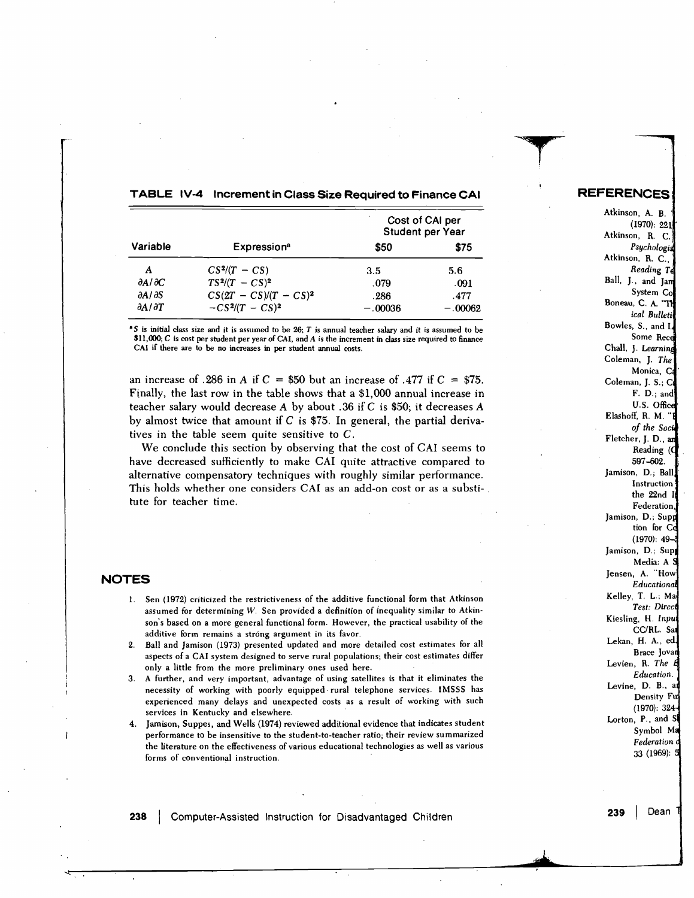| Variable                | <b>Expression</b> <sup>a</sup> | Cost of CAI per<br>Student per Year |           |
|-------------------------|--------------------------------|-------------------------------------|-----------|
|                         |                                | \$50                                | \$75      |
| A                       | $CS^2/(T - CS)$                | 3.5                                 | 5.6       |
| $\partial A/\partial C$ | $TS^{2}/(T - CS)^{2}$          | .079                                | .091      |
| $\partial A/\partial S$ | $CS(2T - CS)/(T - CS)^2$       | .286                                | .477      |
| $\partial A/\partial T$ | $-CS^2/(T - CS)^2$             | $-.00036$                           | $-.00062$ |

#### TABLE IV-4 Increment in Class Size Required to Finance CAl

<sup>a</sup>S is initial class size and it is assumed to be 26; T is annual teacher salary and it is assumed to be \$11,000; C is cost per student per year of CA!, and A is the increment in class size required to finance CAI if there are to be no increases in per student annual costs.

an increase of .286 in A if  $C = $50$  but an increase of .477 if  $C = $75$ . Finally, the last row in the table shows that a \$1,000 annual increase in teacher salary would decrease A by about .36 if C is \$50; it decreases A by almost twice that amount if C is \$75. In general, the partial derivatives in the table seem quite sensitive to C.

We conclude this section by observing that the cost of CAl seems to have decreased sufficiently to make CAl quite attractive compared to alternative compensatory techniques with roughly similar performance. This holds whether one considers CAI as an add-on cost or as a substitute for teacher time.

## NOTES

- 1. Sen (1972) criticized the restrictiveness of the additive functional form that Atkinson assumed for determining  $W$ . Sen provided a definition of inequality similar to Atkinson's based on a more general functional form. However, the practical usability of the additive form remains a strong argument in its favor.
- 2. Ball and Jamison (1973) presented updated and more detailed cost estimates for all aspects of a CAl system designed to serve rural populations; their cost estimates differ only a little from the more preliminary ones used here.
- 3. A further, and very important, advantage of using satellites is that it eliminates the necessity of working with poorly equipped. rural telephone services. IMSSS has experienced many delays and unexpected costs as a result of working with such services in Kentucky and elsewhere.
- 4. Jamison, Suppes, and WelLs (1974) reviewed additional evidence that indicates student performance to be insensitive to the student-to-teacher ratio; their review summarized the literature on the effectiveness of various educational technologies as well as various forms of conventional instruction.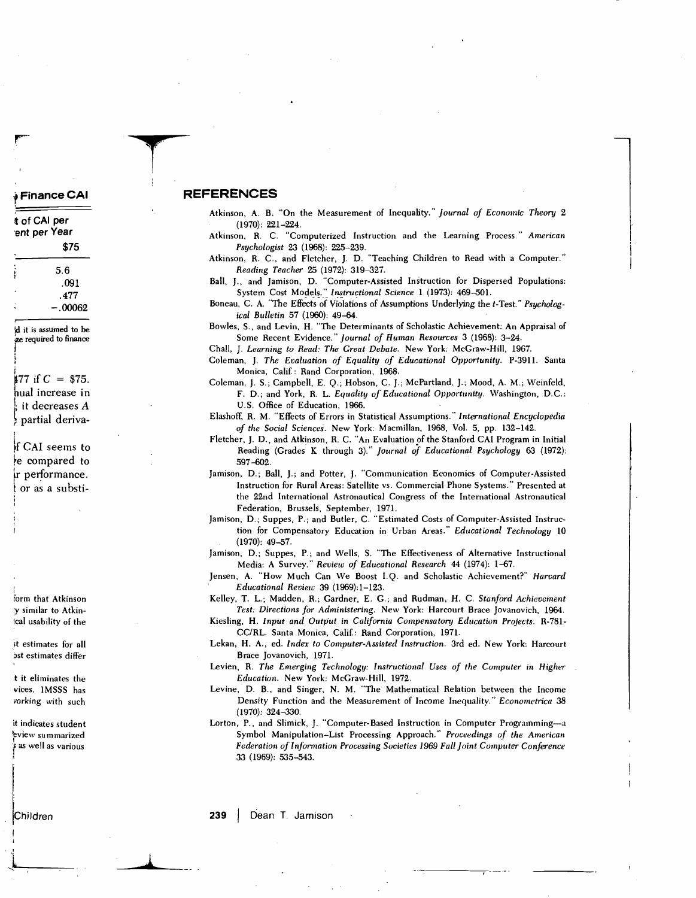#### REFERENCES

it decreases A

Atkinson, A. B. 'On the Measurement of Inequality." Journal of Economic Theory 2 (1970): 221—224.

- Atkinson, R. C. "Computerized Instruction and the Learning Process." American Psychologist 23 (1968): 225—239.
- Atkinson, R. C., and Fletcher, J. D. "Teaching Children to Read with a Computer." Reading Teacher 25 (1972): 319—327.

Ball, J,, and Jamison, D. "Computer-Assisted Instruction for Dispersed Populations: System Cost Models." Instructional Science 1 (1973): 469—501.

Boneau, C. A. "The Effects of Violations of Assumptions Underlying the t-Test." Psychological Bulletin 57 (1960): 49—64.

Bowles, S., and Levin, H. "The Determinants of Scholastic Achievement: An Appraisal of Some Recent Evidence." Journal of Human Resources 3 (1968): 3-24.

Chall, J. Learning to Read: The Great Debate. New York; McGraw-Hill, 1967.

- Coleman, J. The Evaluation of Equality of Educational Opportunity. P-3911. Santa Monica, Calif.: Rand Corporation, 1968.
- Coleman, J. S.; Campbell, E. Q.; Hobson, C. J.; McPartland, J.; Mood, A. M.; \Veinfeld, F. D.; and York, R. L. Equality of Educational Opportunity. Washington, D.C.: U.S. Office of Education, 1966.
- Elashoff, R. M. "Effects of Errors in Statistical Assumptions." International Encyclopedia of the Social Sciences. New York; Macmillan, 1968, Vol. 5, pp. 132—142.
- Fletcher, J. D., and Atkinson, R. C. "An Evaluation of the Stanford CAl Program in Initial Reading (Grades K through 3)." Journal of Educational Psychology 63 (1972); 597—602.
- Jamison, D.; Ball, J.; and Potter, J, "Communication Economics of Computer-Assisted Instruction for Rural Areas: Satellite vs. Commercial Phone Systems." Presented at the 22nd International Astronautical Congress of the International Astronautical Federation, Brussels, September, 1971.
- Jamison, D.; Suppes, P.; and Butler, C. "Estimated Costs of Computer-Assisted Instruction for Compensatory Education in Urban Areas." Educational Technology 10 (1970): 49—57.
- Jamison, D.; Suppes, P.; and Wells, S. "The Effectiveness of Alternative Instructional Media: A Survey." Review of Educational Research 44 (1974): 1-67.

Jensen, A. "How Much Can We Boost I.Q. and Scholastic Achievement?" Harvard Educational Review 39 (1969):1—123.

Kelley, T. L.; Madden, R.; Gardner, E. G.; and Rudman, H. C. Stanford Achievement Test: Directions for Administering. New York: Harcourt Brace Jovanovich, 1964.

- Kiesling, H. Input and Output in California Compensatory Education Projects. R-781-CC/RL. Santa Monica, Calif.: Rand Corporation, 1971.
- Lekan, H. A., ad. Index to Computer-Assisted Instruction. 3rd ed. New York: Harcourt Brace Jovanovich, 1971.

Levien, R. The Emerging Technology: Instructional Uses of the Computer in Higher Education. New York: McGraw-Hill, 1972.

- Levine, D. B., and Singer, N. M. "The Mathematical Relation between the Income Density Function and the Measurement of Income Inequality." Econometrica 38 (1970); 324—330.
- Lorton, P., and Slimick, J. "Computer-Based Instruction in Computer Programming—a Symbol Manipulation—List Processing Approach." Proceedings of the American Federation of Information Processing Societies 1969 Fall Joint Computer Conference 33 (1969): 535—543.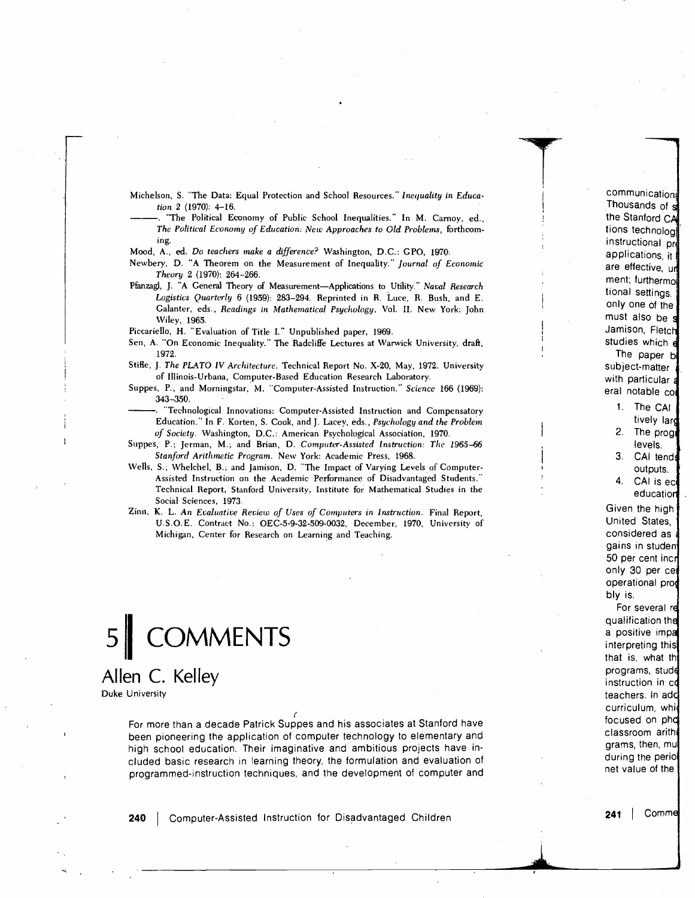Michelson, S. "The Data: Equal Protection and School Resources." Inequality in Education 2 (1970): 4—16,

-. "The Political Economy of Public School Inequalities." In M. Carnov, ed., The Political Economy of Education: New Approaches to Old Problems, forthcoming.

Mood, A., ed. Do teachers make a difference? Washington, D.C.: GPO, 1970.

Newbery, D. "A Theorem on the Measurement of Inequality." Journal of Economic Theory 2 (1970): 264—266.

Pfanzagl, J. "A General Theory of Measurement-Applications to Utility." Naval Research Logistics Quarterly 6 (1959): 283—294. Reprinted in R. Luce, R. Bush, and E. Galanter, eds., Readings in Mathematical Psychology, Vol. II. New York: John. Wiley, 1965.

Piccariello, H. "Evaluation of Title I." Unpublished paper, 1969.

Sen, A. "On Economic Inequality." The Radcliffe Lectures at Warwick University, draft, 1972.

Stifle, J. The PLATO IV Architecture. Technical Report No. X-20, May, 1972. University of Illinois-Urbana, Computer-Based Education Research Laboratory.

Suppes, P., and Morningstar, M. "Computer-Assisted Instruction." Science 166 (1969): 343—350.

• "Technological Innovations: Computer-Assisted Instruction and Compensatory Education." In F. Korten, S. Cook, and J. Lacey, eds., Psychology and the Problem of Society. Washington, D.C.: American Psychological Association, 1970.

- Suppes, P.; Jerman, M.; and Brian, D. Computer-Assisted instruction: The 1965—66 Stanford Arithmetic Program. New York: Academic Press, 1968.
- Wells, S.; Whelchel, B.; and Jamison, D. "The Impact of Varying Levels of Computer-Assisted Instruction on the Academic Performance of Disadvantaged Students." Technical Report, Stanford University, Institute for Mathematical Studies in the Social Sciences, 1973.
- Zinn, K. L. An Evaluative Review of Uses of Computers in Instruction. Final Report, U.S.O.E. Contract No.: OEC-5-9-32-509-0032, December, 1970, University of Michigan, Center for Research on Learning and Teaching.

# 5 COMMENTS

# Allen C. Kelley

Duke University

For more than a decade Patrick Suppes and his associates at Stanford have been pioneering the application of computer technology to elementary and high school education, Their imaginative and ambitious projects have included basic research in learning theory, the formulation and evaluation of programmed-instruction techniques, and the development of computer and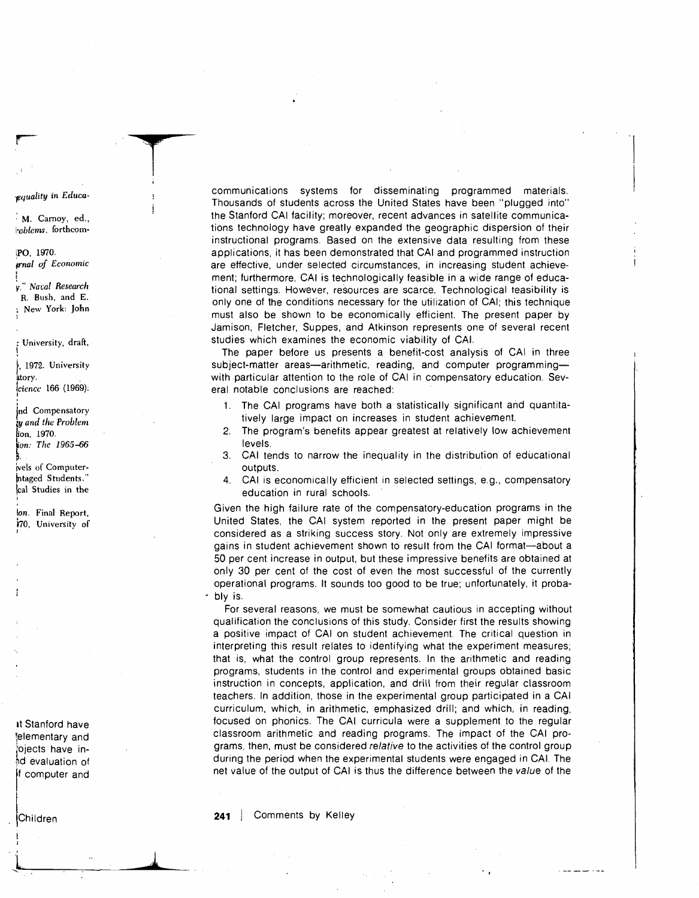communications systems for disseminating programmed materials. Thousands of students across the United States have been 'plugged into" the Stanford CAl facility; moreover, recent advances in satellite communications technology have greatly expanded the geographic dispersion of their instructional programs. Based on the extensive data resulting from these applications, it has been demonstrated that CAl and programmed instruction are effective, under selected circumstances, in increasing student achievement; furthermore, CAl is technologically feasible in a wide range of educational settings. However, resources are scarce. Technological teasibility is only one of the conditions necessary for the utilization of CAl; this technique must also be shown to be economically efficient. The present paper by Jamison, Fletcher, Suppes, and Atkinson represents one of several recent studies which examines the economic viability of CAl.

The paper before us presents a benefit-cost analysis of CAl in three subject-matter areas—arithmetic, reading, and computer programming with particular attention to the role of CAl in compensatory education. Several notable conclusions are reached:

- 1. The CAl programs have both a statistically significant and quantitatively large impact on increases in student achievement.
- 2. The program's benefits appear greatest at relatively low achievement levels.
- 3. CAl tends to narrow the inequality in the distribution of educational outputs.
- 4. CAl is economically efficient in selected settings, e.g., compensatory education in rural schools.

Given the high failure rate of the compensatory-education programs in the United States, the CAl system reported in the present paper might be considered as a striking success story. Not only are extremely impressive gains in student achievement shown to result from the CAl format—about a 50 per cent increase in output, but these impressive benefits are obtained at only 30 per cent of the cost of even the most successful of the currently operational programs. It sounds too good to be true; unfortunately, it proba- - bly is.

For several reasons, we must be somewhat cautious in accepting without qualification the conclusions of this study. Consider first the results showing a positive impact of CAl on student achievement. The critical question in interpreting this result relates to identifying what the experiment measures; that is, what the control group represents. In the arithmetic and reading programs, students in the control and experimental groups obtained basic instruction in concepts, application, and drill from their regular classroom teachers. In addition, those in the experimental group participated in a CAl curriculum, which, in arithmetic, emphasized drill; and which, in reading, focused on phonics. The CAl curricula were a supplement to the regular classroom arithmetic and reading programs. The impact of the CAl programs, then, must be considered relative to the activities of the control group during the period when the experimental students were engaged in CAl. The net value of the output of CAl is thus the difference between the value of the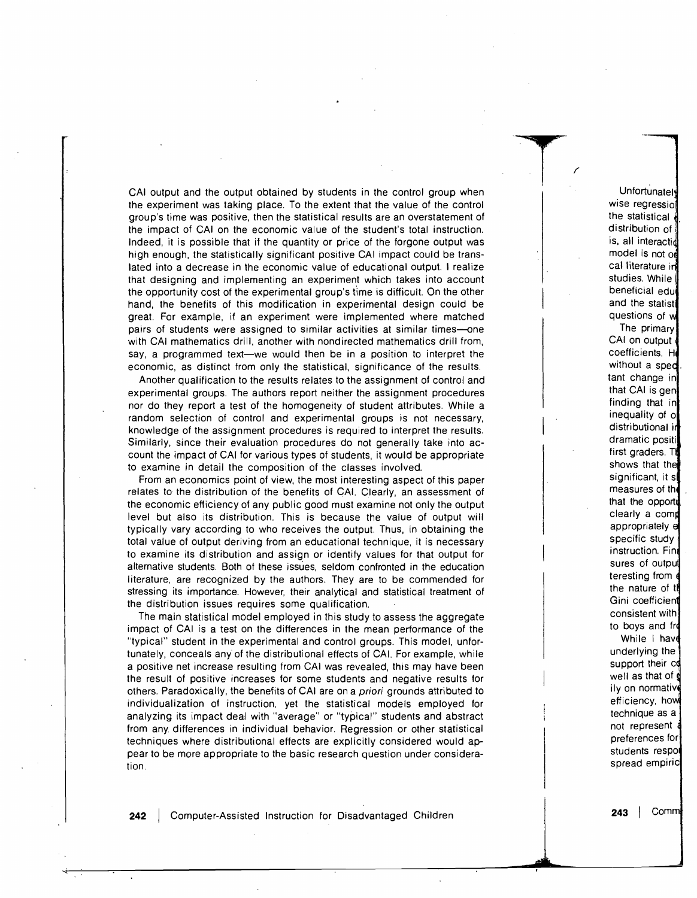CAI output and the output obtained by students in the control group when the experiment was taking place. To the extent that the value of the control group's time was positive, then the statistical results are an overstatement of the impact of CAI on the economic value of the student's total instruction. Indeed, it is possible that if the quantity or price of the forgone output was high enough, the statistically significant positive CAI impact could be translated into a decrease in the economic value of educational output. I realize that designing and implementing an experiment which takes into account the opportunity cost of the experimental group's time is difficult. On the other hand, the benefits of this modification in experimental design could be great. For example, if an experiment were implemented where matched pairs of students were assigned to similar activities at similar times—one with CAI mathematics drill, another with nondirected mathematics drill from, say, a programmed text—we would then be in a position to interpret the economic, as distinct from only the statistical, significance of the results.

Another qualification to the results relates to the assignment of control and experimental groups. The authors report neither the assignment procedures nor do they report a test of the homogeneity of student attributes. While a random selection of control and experimental groups is not necessary, knowledge of the assignment procedures is required to interpret the results. Similarly, since their evaluation procedures do not generally take into account the impact of CAI for various types of students, it would be appropriate to examine in detail the composition of the classes involved.

From an economics point of view, the most interesting aspect of this paper relates to the distribution of the benefits of CAI. Clearly, an assessment of the economic efficiency of any public good must examine not only the output level but also its distribution. This is because the value of output will typically vary according to who receives the output. Thus, in obtaining the total value of output deriving from an educational technique, it is necessary to examine its distribution and assign or identify values for that output for alternative students. Both of these issues, seldom confronted in the education literature, are recognized by the authors. They are to be commended for stressing its importance. However, their analytical and statistical treatment of the distribution issues requires some qualification.

The main statistical model employed in this study to assess the aggregate impact of CAI is a test on the differences in the mean performance of the "typical" student in the experimental and control groups. This model, unfortunately, conceals any of the distributional effects of CAI. For example, while a positive net increase resulting from CAI was revealed, this may have been the result of positive increases for some students and negative results for others. Paradoxically, the benefits of CAI are on a *priori* grounds attributed to individualization of instruction, yet the statistical models employed for analyzing its impact deal with "average" or "typical" students and abstract from any. differences in individual behavior. Regression or other statistical techniques where distributional effects are explicitly considered would appear to be more appropriate to the basic research question under consideration.<br>tion.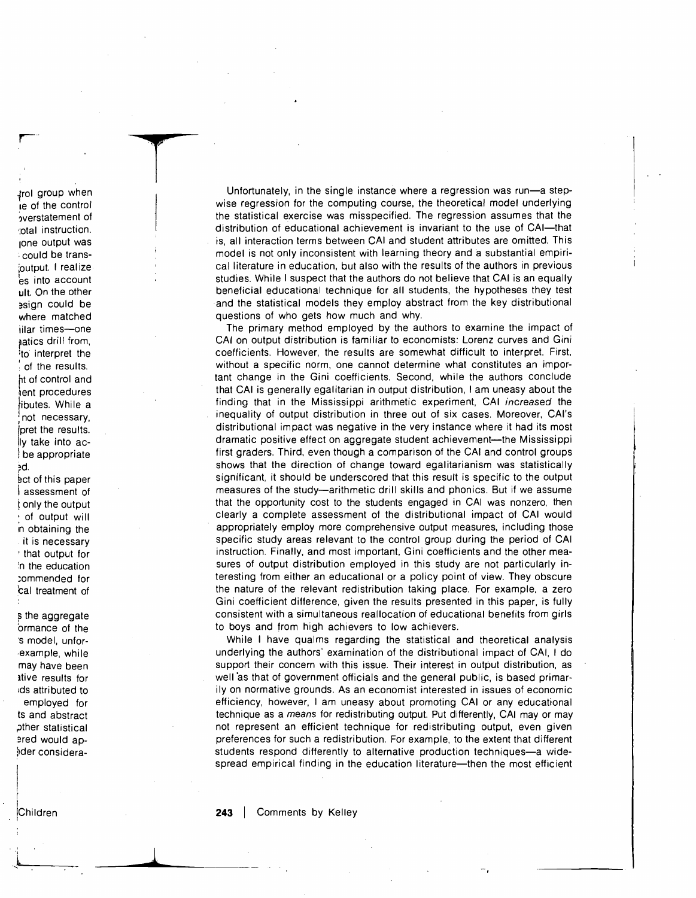Unfortunately, in the single instance where a regression was run—a stepwise regression for the computing course, the theoretical model underlying the statistical exercise was misspecified. The regression assumes that the distribution of educational achievement is invariant to the use of CAl—that is, all interaction terms between CAl and student attributes are omitted. This model is not only inconsistent with learning theory and a substantial empirical literature in education, but also with the results of the authors in previous studies. While I suspect that the authors do not believe that CAl is an equally beneficial educational technique for all students, the hypotheses they test and the statistical models they employ abstract from the key distributional questions of who gets how much and why.

The primary method employed by the authors to examine the impact of CAl on output distribution is familiar to economists: Lorenz curves and Gini coefficients. However, the results are somewhat difficult to interpret. First, without a specific norm, one cannot determine what constitutes an important change in the Gini coefficients. Second, while the authors conclude that CAl is generally egalitarian in output distribution, I am uneasy about the finding that in the Mississippi arithmetic experiment, CAl increased the inequality of output distribution in three out of six cases. Moreover, CAl's distributional impact was negative in the very instance where it had its most dramatic positive effect on aggregate student achievement—the Mississippi first graders. Third, even though a comparison of the CAl and control groups shows that the direction of change toward egalitarianism was statistically significant, it should be underscored that this result is specific to the output measures of the study—arithmetic drill skills and phonics. But if we assume that the opportunity cost to the students engaged in CAl was nonzero, then clearly a complete assessment of the distributional impact of CAl would appropriately employ more comprehensive output measures, including those specific study areas relevant to the control group during the period of CAl instruction. Finally, and most important, Gini coefficients and the other measures of output distribution employed in this study are not particularly interesting from either an educational or a policy point of view. They obscure the nature of the relevant redistribution taking place. For example, a zero Gini coefficient difference, given the results presented in this paper, is fully consistent with a simultaneous reallocation of educational benefits from girls to boys and from high achievers to low achievers.

While <sup>I</sup> have qualms regarding the statistical and theoretical analysis underlying the authors' examination of the distributional impact of CAl, I do support their concern with this issue. Their interest in output distribution, as well as that of government officials and the general public, is based primarily on normative grounds. As an economist interested in issues of economic efficiency, however, I am uneasy about promoting CAl or any educational technique as a means for redistributing output. Put differently, CAl may or may not represent an efficient technique for redistributing output, even given preferences for such a redistribution. For example, to the extent that different students respond differently to alternative production techniques—a widespread empirical finding in the education literature—then the most efficient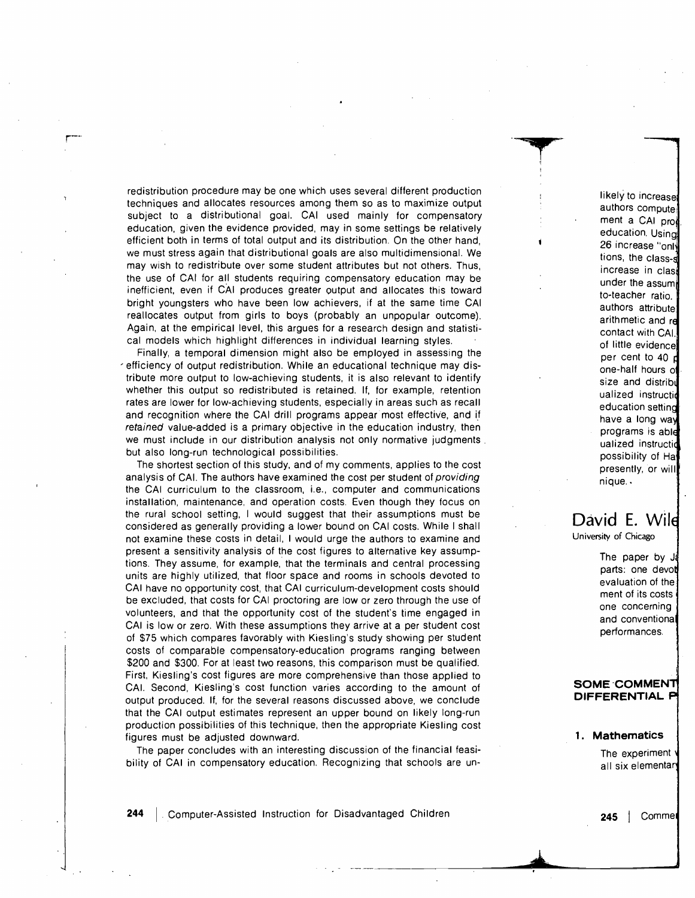redistribution procedure may be one which uses several different production techniques and allocates resources among them so as to maximize output subject to a distributional goal. CAI used mainly for compensatory subject to a distributional goal. CAI used mainly for compensatory<br>education, given the evidence provided, may in some settings be relatively<br>efficient both in terms of total output and its distribution. On the other hand, inefficient, even if CAI produces greater output and allocates this toward<br>bright youngsters who have been low achievers, if at the same time CAI<br>reallocates output from girls to boys (probably an unpopular outcome).<br>Again

Finally, a temporal dimension might also be employed in assessing the 'efficiency of output redistribution. While an educational technique may dis- one-half hours o tribute more output to low-achieving students, it is also relevant to identify whether this output so redistributed is retained. If, for example, retention rates are lower for low-achieving students, especially in areas such as recall and recognition where the CAI drill programs appear most effective, and if retained value-added is a primary objective in the education industr we must include in our distribution analysis not only normative judgments is but also long-run technological possibilities.

The shortest section of this study, and of my comments, applies to the cost analysis of CAI. The authors have examined the cost per student of *providing* the CAI curriculum to the classroom, i.e., computer and communicati installation, maintenance, and operation costs. Even though they focus on the rural school setting, <sup>I</sup> would suggest that their assumptions must be considered as generally providing a lower bound on CAI costs. While I shall not examine these costs in detail, I would urge the authors to examine and present a sensitivity analysis of the cost figures to alternative key assumptions. They assume, for example, that the terminals and central processing units are highly utilized, that floor space and rooms in schools devote costs of comparable compensatory-education programs ranging between \$200 and \$300. For at least two reasons, this comparison must be qualified. First, Kiesling's cost figures are more comprehensive than those applied to CAI. Second, Kiesling's cost function varies according to the amount of output produced. If, for the several reasons discussed above, we conclude that the CAl output estimates represent an upper bound on likely long-run production possibilities of this technique, then the appropriate Kiesling cost figures must be adjusted downward.

The paper concludes with an interesting discussion of the financial feasi-<br>bility of CAI in compensatory education. Recognizing that schools are un-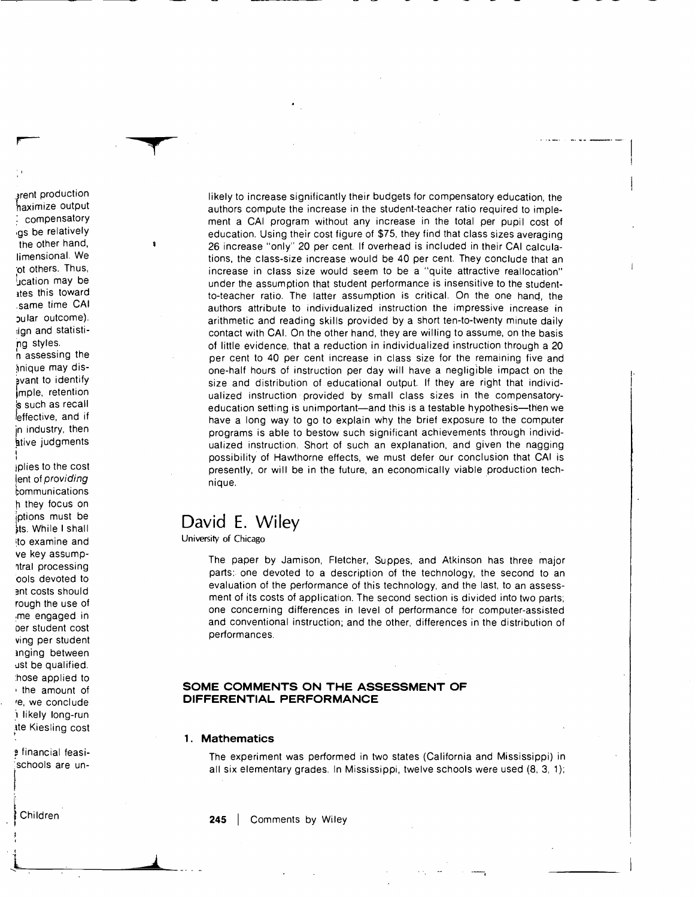likely to increase significantly their budgets for compensatory education, the authors compute the increase in the student-teacher ratio required to implement a CAl program without any increase in the total per pupil cost of education. Using their cost figure of \$75, they find that class sizes averaging 26 increase "only" 20 per cent. If overhead is included in their CAl calculations, the class-size increase would be 40 per cent. They conclude that an increase in class size would seem to be a "quite attractive reallocation" under the assumption that student performance is insensitive to the studentto-teacher ratio. The latter assumption is critical. On the one hand, the authors attribute to individualized instruction the impressive increase in arithmetic and reading skills provided by a short ten-to-twenty minute daily contact with CAl. On the other hand, they are willing to assume, on the basis of little evidence, that a reduction in individualized instruction through a 20 per cent to 40 per cent increase in class size for the remaining five and one-half hours of instruction per day will have a negligible impact on the size and distribution of educational output. If they are right that individualized instruction provided by small class sizes in the compensatoryeducation setting is unimportant—and this is a testable hypothesis—then we have a long way to go to explain why the brief exposure to the computer programs is able to bestow such significant achievements through individualized instruction. Short of such an explanation, and given the nagging possibility of Hawthorne effects, we must defer our conclusion that CAl is presently, or will be in the future, an economically viable production technique.

## David E. Wiley

#### University of Chicago

The paper by Jamison, Fletcher, Suppes, and Atkinson has three major parts: one devoted to a description of the technology, the second to an evaluation of the performance of this technology, and the last, to an assessment of its costs of application. The second section is divided into two parts; one concerning differences in level of performance for computer-assisted and conventional instruction; and the other, differences in the distribution of performances,

## SOME COMMENTS ON THE ASSESSMENT OF DIFFERENTIAL PERFORMANCE

#### 1. Mathematics

The experiment was performed in two states (California and Mississippi) in all six elementary grades. In Mississippi, twelve schools were used (8, 3, 1);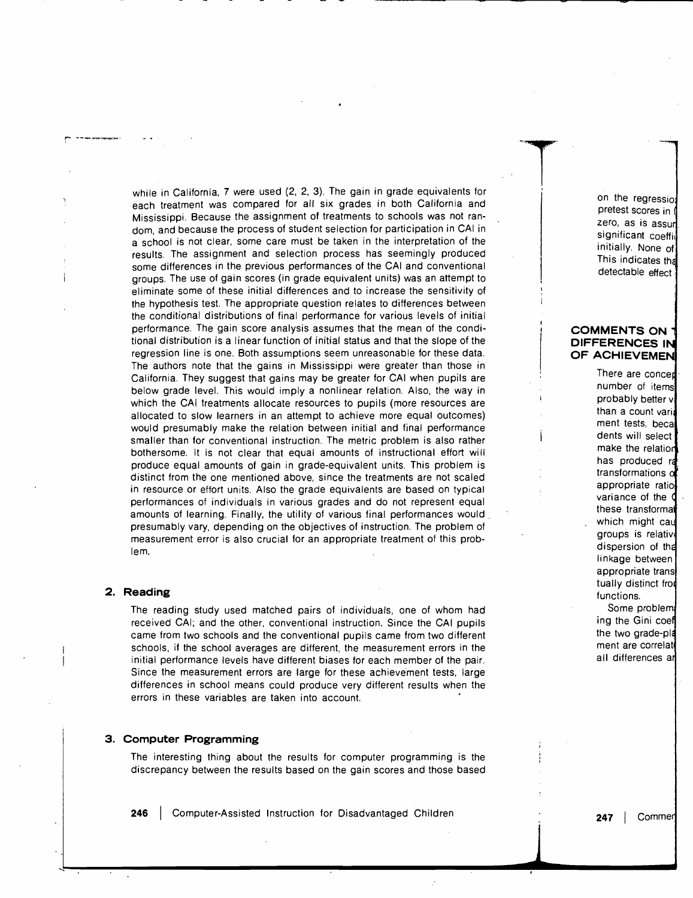while in California, 7 were used (2, 2, 3). The gain in grade equivalents for each treatment was compared for all six grades in both California and Mississippi. Because the assignment of treatments to schools was not random, and because the process of student selection for participation in CAl in a school is not clear, some care must be taken in the interpretation of the results. The assignment and selection process has seemingly produced some differences in the previous performances of the CAl and conventional groups. The use of gain scores (in grade equivalent units) was an attempt to eliminate some of these initial differences and to increase the sensitivity of the hypothesis test. The appropriate question relates to differences between the conditional distributions of final performance for various levels of initial performance. The gain score analysis assumes that the mean of the conditional distribution is a linear function of initial status and that the slope of the regression line is one. Both assumptions seem unreasonable for these data. The authors note that the gains in Mississippi were greater than those in California. They suggest that gains may be greater for CAl when pupils are below grade level. This would imply a nonlinear relation. Also, the way in which the CAl treatments allocate resources to pupils (more resources are allocated to slow learners in an attempt to achieve more equal outcomes) would presumably make the relation between initial and final performance smaller than for conventional instruction. The metric problem is also rather bothersome. It is not clear that equal amounts of instructional effort will produce equal amounts of gain in grade-equivalent units. This problem is distinct from the one mentioned above, since the treatments are not scaled in resource or effort units. Also the grade equivalents are based on typical performances of individuals in various grades and do not represent equal amounts of learning. Finally, the utility of various final performances would presumably vary, depending on the objectives of instruction. The problem of measurement error is also crucial for an appropriate treatment of this problem.

 $\vert$ 

#### 2. Reading

j

j.  $\mathbf{I}$  The reading study used matched pairs of individuals, one of whom had received CAl; and the other, conventional instruction. Since the CAl pupils came from two schools and the conventional pupils came from two different schools, if the school averages are different, the measurement errors in the initial performance levels have different biases for each member of the pair. Since the measurement errors are large for these achievement tests, large differences in school means could produce very different results when the errors in these variables are taken into account.

#### 3. Computer Programming

The interesting thing about the results for computer programming is the discrepancy between the results based on the gain scores and those based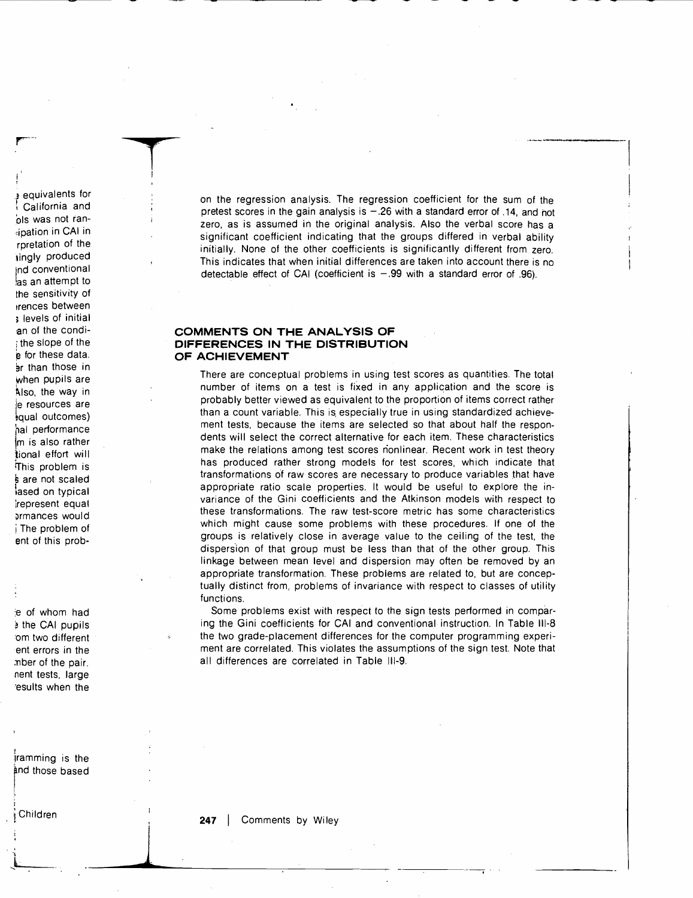on the regression analysis. The regression coefficient for the sum of the pretest scores in the gain analysis is  $-.26$  with a standard error of .14, and not zero, as is assumed in the original analysis. Also the verbal score has a significant coefficient indicating that the groups differed in verbal ability initially. None of the other coefficients is significantly different from zero. This indicates that when initial differences are taken into account there is no detectable effect of CAI (coefficient is  $-.99$  with a standard error of .96).

## COMMENTS ON THE ANALYSIS OF DIFFERENCES IN THE DISTRIBUTION OF ACHIEVEMENT

There are conceptual problems in using test scores as quantities. The total number of items on a test is fixed in any application and the score is probably better viewed as equivalent to the proportion of items correct rather than a count variable. This is especially true in using standardized achievement tests, because the items are selected so that about half the respondents will select the correct alternative for each item. These characteristics make the relations among test scores nonlinear. Recent work in test theory has produced rather strong models for test scores, which indicate that transformations of raw scores are necessary to produce variables that have appropriate ratio scale properties. It would be useful to explore the invariance of the Gini coefficients and the Atkinson models with respect to these transformations. The raw test-score metric has some characteristics which might cause some problems with the causal memory that of the conservations and the relations are appropriate ratio scale properties. It would be useful to explore the invariance of the Gini coefficients and the Atkin groups is relatively close in average value to the ceiling of the test, the dispersion of that group must be less than that of the other group. This linkage between mean level and dispersion may often be removed by an appropriate transformation. These problems are related to, but are conceptually distinct from, problems of invariance with respect to classes of utility functions.

Some problems exist with respect to the sign tests performed in comparing the Gini coefficients for CAl and conventional instruction. In Table 111-8 the two grade-placement differences for the computer programming experiment are correlated. This violates the assumptions of the sign test. Note that all differences are correlated in Table 111-9.